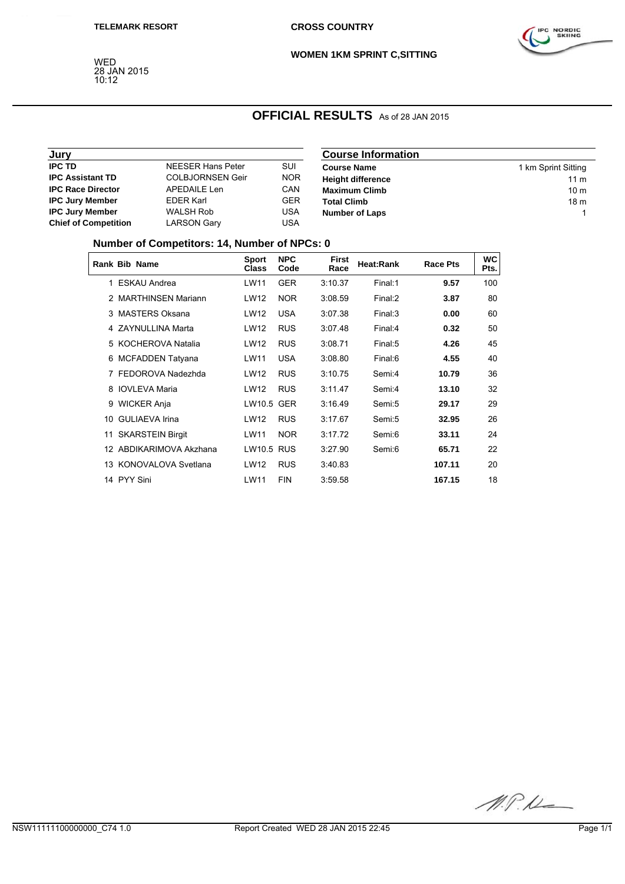WED 28 JAN 2015 10:12



**WOMEN 1KM SPRINT C,SITTING**

## **OFFICIAL RESULTS** As of 28 JAN 2015

| Jury                        |                         |            | <b>Course Information</b> |                     |  |  |
|-----------------------------|-------------------------|------------|---------------------------|---------------------|--|--|
| <b>IPC TD</b>               | NEESER Hans Peter       | SUI        | <b>Course Name</b>        | 1 km Sprint Sitting |  |  |
| <b>IPC Assistant TD</b>     | <b>COLBJORNSEN Geir</b> | <b>NOR</b> | <b>Height difference</b>  | 11 <sub>m</sub>     |  |  |
| <b>IPC Race Director</b>    | APEDAILE Len            | <b>CAN</b> | <b>Maximum Climb</b>      | 10 <sub>m</sub>     |  |  |
| <b>IPC Jury Member</b>      | <b>EDER Karl</b>        | <b>GER</b> | <b>Total Climb</b>        | 18 <sub>m</sub>     |  |  |
| <b>IPC Jury Member</b>      | <b>WALSH Rob</b>        | USA        | <b>Number of Laps</b>     |                     |  |  |
| <b>Chief of Competition</b> | LARSON Gary             | USA        |                           |                     |  |  |

### **Number of Competitors: 14, Number of NPCs: 0**

|    | Rank Bib Name           | <b>Sport</b><br><b>Class</b> | <b>NPC</b><br>Code | <b>First</b><br>Race | Heat:Rank | <b>Race Pts</b> | <b>WC</b><br>Pts. |
|----|-------------------------|------------------------------|--------------------|----------------------|-----------|-----------------|-------------------|
|    | 1 ESKAU Andrea          | LW11                         | <b>GER</b>         | 3:10.37              | Final:1   | 9.57            | 100               |
|    | 2 MARTHINSEN Mariann    | LW12                         | <b>NOR</b>         | 3:08.59              | Final:2   | 3.87            | 80                |
|    | 3 MASTERS Oksana        | LW12                         | <b>USA</b>         | 3:07.38              | Final:3   | 0.00            | 60                |
|    | 4 ZAYNULLINA Marta      | LW12                         | <b>RUS</b>         | 3:07.48              | Final:4   | 0.32            | 50                |
| 5  | KOCHEROVA Natalia       | LW12                         | <b>RUS</b>         | 3:08.71              | Final:5   | 4.26            | 45                |
| 6  | <b>MCFADDEN Tatyana</b> | LW11                         | <b>USA</b>         | 3:08.80              | Final:6   | 4.55            | 40                |
|    | 7 FEDOROVA Nadezhda     | LW12                         | <b>RUS</b>         | 3:10.75              | Semi:4    | 10.79           | 36                |
|    | 8 IOVLEVA Maria         | LW12                         | <b>RUS</b>         | 3:11.47              | Semi:4    | 13.10           | 32                |
|    | 9 WICKER Anja           | <b>LW10.5 GER</b>            |                    | 3:16.49              | Semi:5    | 29.17           | 29                |
| 10 | <b>GULIAEVA Irina</b>   | LW12                         | <b>RUS</b>         | 3:17.67              | Semi:5    | 32.95           | 26                |
| 11 | <b>SKARSTEIN Birgit</b> | LW11                         | <b>NOR</b>         | 3:17.72              | Semi:6    | 33.11           | 24                |
|    | ABDIKARIMOVA Akzhana    | <b>LW10.5 RUS</b>            |                    | 3:27.90              | Semi:6    | 65.71           | 22                |
|    | 13 KONOVALOVA Svetlana  | LW12                         | <b>RUS</b>         | 3:40.83              |           | 107.11          | 20                |
|    | 14 PYY Sini             | LW11                         | <b>FIN</b>         | 3:59.58              |           | 167.15          | 18                |

M.P.U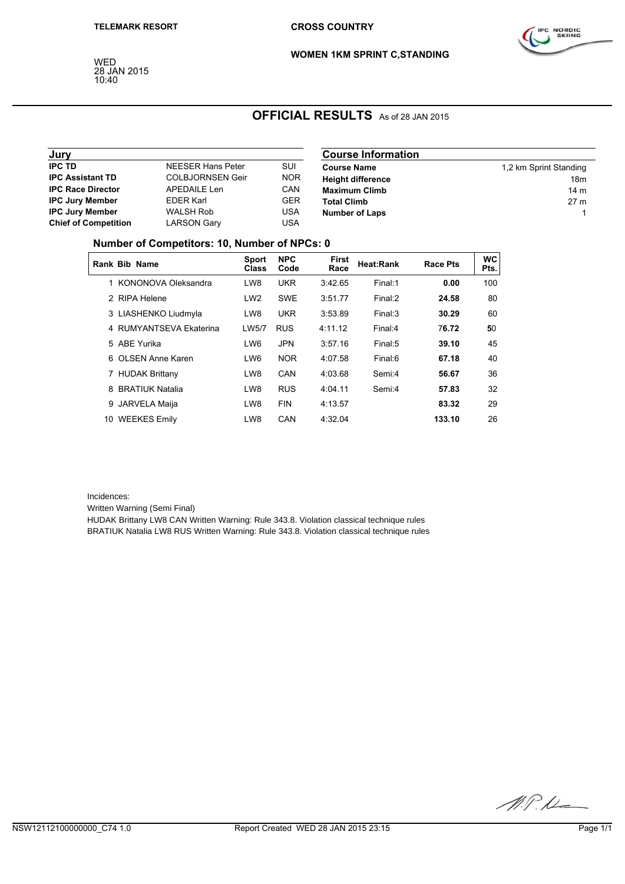WED 28 JAN 2015 10:40



**WOMEN 1KM SPRINT C,STANDING**

# **OFFICIAL RESULTS** As of 28 JAN 2015

| Jury                        |                          |            | <b>Course Information</b> |                        |  |  |
|-----------------------------|--------------------------|------------|---------------------------|------------------------|--|--|
| <b>IPC TD</b>               | <b>NEESER Hans Peter</b> | <b>SUI</b> | <b>Course Name</b>        | 1,2 km Sprint Standing |  |  |
| <b>IPC Assistant TD</b>     | <b>COLBJORNSEN Geir</b>  | <b>NOR</b> | <b>Height difference</b>  | 18m                    |  |  |
| <b>IPC Race Director</b>    | APEDAILE Len             | CAN        | <b>Maximum Climb</b>      | 14 <sub>m</sub>        |  |  |
| <b>IPC Jury Member</b>      | <b>EDER Karl</b>         | <b>GER</b> | <b>Total Climb</b>        | 27 <sub>m</sub>        |  |  |
| <b>IPC Jury Member</b>      | <b>WALSH Rob</b>         | <b>USA</b> | <b>Number of Laps</b>     |                        |  |  |
| <b>Chief of Competition</b> | <b>LARSON Gary</b>       | USA        |                           |                        |  |  |

#### **Number of Competitors: 10, Number of NPCs: 0**

|               | Rank Bib Name           | <b>Sport</b><br><b>Class</b> | <b>NPC</b><br>Code | <b>First</b><br>Race | <b>Heat:Rank</b> | <b>Race Pts</b> | <b>WC</b><br>Pts. |
|---------------|-------------------------|------------------------------|--------------------|----------------------|------------------|-----------------|-------------------|
|               | 1 KONONOVA Oleksandra   | LW8                          | <b>UKR</b>         | 3:42.65              | Final:1          | 0.00            | 100               |
| $\mathcal{P}$ | RIPA Helene             | LW <sub>2</sub>              | <b>SWE</b>         | 3:51.77              | Final:2          | 24.58           | 80                |
|               | 3 LIASHENKO Liudmyla    | LW8                          | <b>UKR</b>         | 3:53.89              | Final:3          | 30.29           | 60                |
|               | 4 RUMYANTSEVA Ekaterina | LW5/7                        | <b>RUS</b>         | 4:11.12              | Final:4          | 76.72           | 50                |
|               | 5 ABF Yurika            | LW6                          | <b>JPN</b>         | 3:57.16              | Final:5          | 39.10           | 45                |
| 6.            | <b>OLSEN Anne Karen</b> | LW6                          | <b>NOR</b>         | 4:07.58              | Final:6          | 67.18           | 40                |
|               | 7 HUDAK Brittany        | LW8                          | CAN                | 4:03.68              | Semi:4           | 56.67           | 36                |
| 8             | <b>BRATIUK Natalia</b>  | LW8                          | <b>RUS</b>         | 4:04.11              | Semi:4           | 57.83           | 32                |
| 9             | JARVELA Maija           | LW8                          | <b>FIN</b>         | 4:13.57              |                  | 83.32           | 29                |
| 10            | <b>WEEKES Emily</b>     | LW8                          | CAN                | 4:32.04              |                  | 133.10          | 26                |

Incidences:

Written Warning (Semi Final)

HUDAK Brittany LW8 CAN Written Warning: Rule 343.8. Violation classical technique rules BRATIUK Natalia LW8 RUS Written Warning: Rule 343.8. Violation classical technique rules

M.P.M